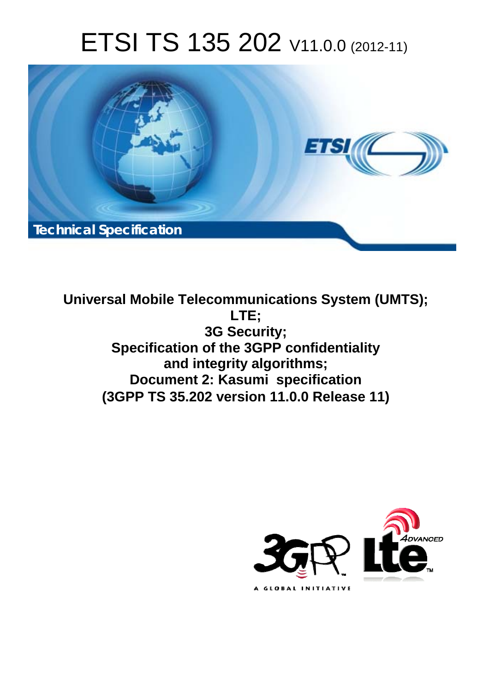# ETSI TS 135 202 V11.0.0 (2012-11)



**Universal Mobile Telecommunications System (UMTS); LTE; 3G Security; Specification of the 3GPP confidentiality and integrity algorithms; Document 2: Kasumi specification (3GPP TS 35.202 version 11.0.0 Release 11)** 

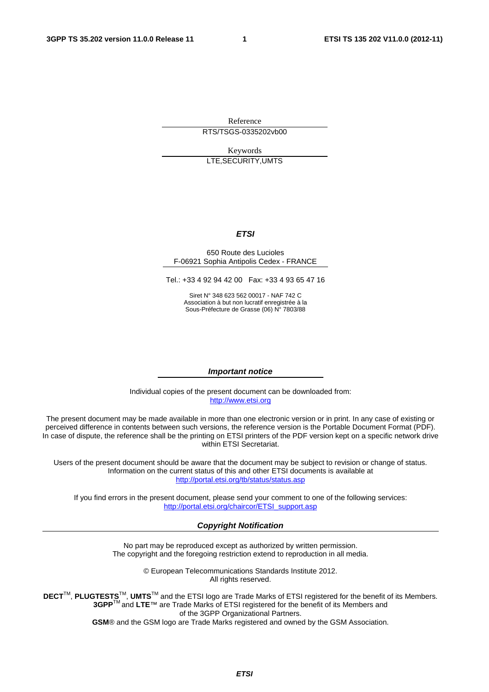Reference RTS/TSGS-0335202vb00

Keywords LTE,SECURITY,UMTS

#### *ETSI*

#### 650 Route des Lucioles F-06921 Sophia Antipolis Cedex - FRANCE

Tel.: +33 4 92 94 42 00 Fax: +33 4 93 65 47 16

Siret N° 348 623 562 00017 - NAF 742 C Association à but non lucratif enregistrée à la Sous-Préfecture de Grasse (06) N° 7803/88

#### *Important notice*

Individual copies of the present document can be downloaded from: [http://www.etsi.org](http://www.etsi.org/)

The present document may be made available in more than one electronic version or in print. In any case of existing or perceived difference in contents between such versions, the reference version is the Portable Document Format (PDF). In case of dispute, the reference shall be the printing on ETSI printers of the PDF version kept on a specific network drive within ETSI Secretariat.

Users of the present document should be aware that the document may be subject to revision or change of status. Information on the current status of this and other ETSI documents is available at <http://portal.etsi.org/tb/status/status.asp>

If you find errors in the present document, please send your comment to one of the following services: [http://portal.etsi.org/chaircor/ETSI\\_support.asp](http://portal.etsi.org/chaircor/ETSI_support.asp)

#### *Copyright Notification*

No part may be reproduced except as authorized by written permission. The copyright and the foregoing restriction extend to reproduction in all media.

> © European Telecommunications Standards Institute 2012. All rights reserved.

DECT<sup>™</sup>, PLUGTESTS<sup>™</sup>, UMTS<sup>™</sup> and the ETSI logo are Trade Marks of ETSI registered for the benefit of its Members. **3GPP**TM and **LTE**™ are Trade Marks of ETSI registered for the benefit of its Members and of the 3GPP Organizational Partners.

**GSM**® and the GSM logo are Trade Marks registered and owned by the GSM Association.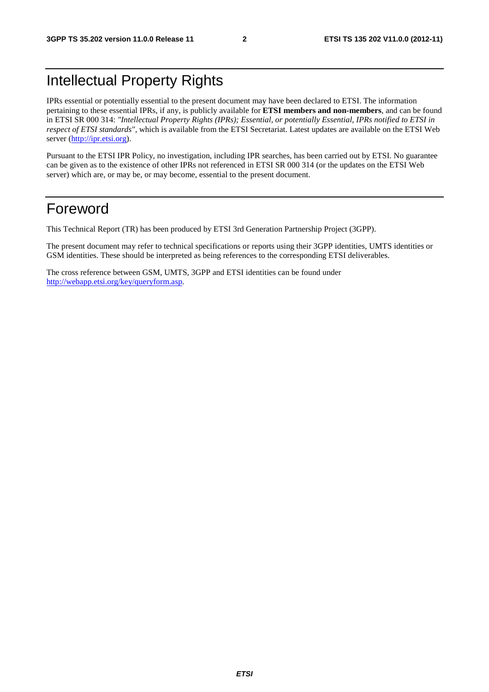## Intellectual Property Rights

IPRs essential or potentially essential to the present document may have been declared to ETSI. The information pertaining to these essential IPRs, if any, is publicly available for **ETSI members and non-members**, and can be found in ETSI SR 000 314: *"Intellectual Property Rights (IPRs); Essential, or potentially Essential, IPRs notified to ETSI in respect of ETSI standards"*, which is available from the ETSI Secretariat. Latest updates are available on the ETSI Web server [\(http://ipr.etsi.org](http://webapp.etsi.org/IPR/home.asp)).

Pursuant to the ETSI IPR Policy, no investigation, including IPR searches, has been carried out by ETSI. No guarantee can be given as to the existence of other IPRs not referenced in ETSI SR 000 314 (or the updates on the ETSI Web server) which are, or may be, or may become, essential to the present document.

### Foreword

This Technical Report (TR) has been produced by ETSI 3rd Generation Partnership Project (3GPP).

The present document may refer to technical specifications or reports using their 3GPP identities, UMTS identities or GSM identities. These should be interpreted as being references to the corresponding ETSI deliverables.

The cross reference between GSM, UMTS, 3GPP and ETSI identities can be found under [http://webapp.etsi.org/key/queryform.asp.](http://webapp.etsi.org/key/queryform.asp)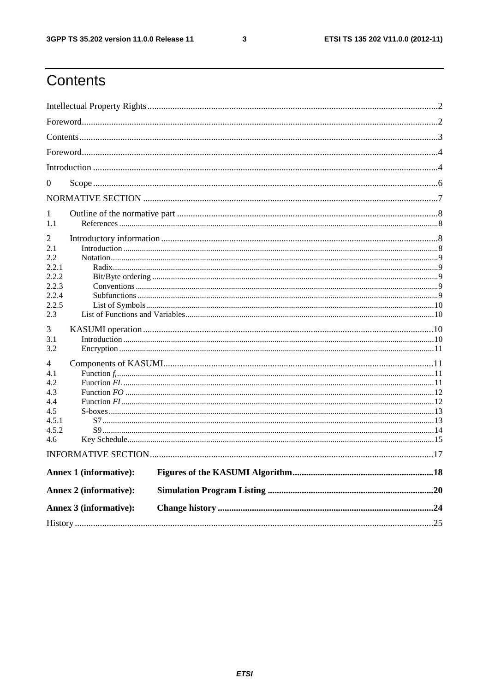$\mathbf{3}$ 

## Contents

| $\theta$     |                        |  |  |  |  |  |
|--------------|------------------------|--|--|--|--|--|
|              |                        |  |  |  |  |  |
|              |                        |  |  |  |  |  |
| 1            |                        |  |  |  |  |  |
| 1.1          |                        |  |  |  |  |  |
| 2            |                        |  |  |  |  |  |
| 2.1          |                        |  |  |  |  |  |
| 2.2<br>2.2.1 |                        |  |  |  |  |  |
| 2.2.2        |                        |  |  |  |  |  |
| 2.2.3        |                        |  |  |  |  |  |
| 2.2.4        |                        |  |  |  |  |  |
| 2.2.5        |                        |  |  |  |  |  |
| 2.3          |                        |  |  |  |  |  |
| 3            |                        |  |  |  |  |  |
| 3.1          |                        |  |  |  |  |  |
| 3.2          |                        |  |  |  |  |  |
|              |                        |  |  |  |  |  |
| 4<br>4.1     |                        |  |  |  |  |  |
| 4.2          |                        |  |  |  |  |  |
| 4.3          |                        |  |  |  |  |  |
| 4.4          |                        |  |  |  |  |  |
| 4.5          |                        |  |  |  |  |  |
| 4.5.1        |                        |  |  |  |  |  |
| 4.5.2        |                        |  |  |  |  |  |
| 4.6          |                        |  |  |  |  |  |
|              |                        |  |  |  |  |  |
|              | Annex 1 (informative): |  |  |  |  |  |
|              | Annex 2 (informative): |  |  |  |  |  |
|              |                        |  |  |  |  |  |
|              | Annex 3 (informative): |  |  |  |  |  |
|              |                        |  |  |  |  |  |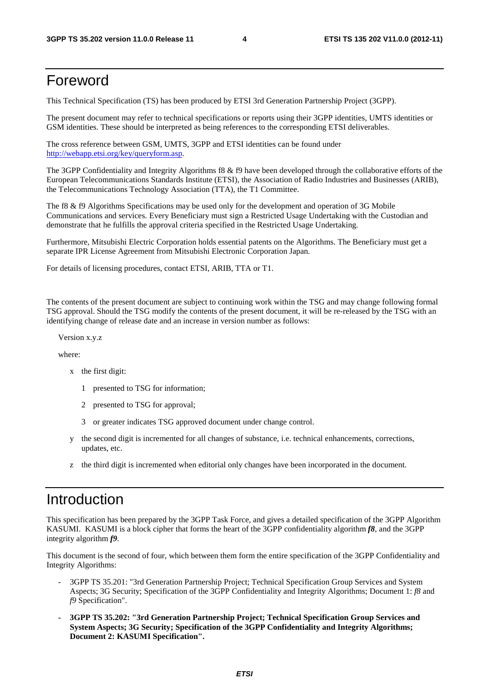### Foreword

This Technical Specification (TS) has been produced by ETSI 3rd Generation Partnership Project (3GPP).

The present document may refer to technical specifications or reports using their 3GPP identities, UMTS identities or GSM identities. These should be interpreted as being references to the corresponding ETSI deliverables.

The cross reference between GSM, UMTS, 3GPP and ETSI identities can be found under [http://webapp.etsi.org/key/queryform.asp.](http://webapp.etsi.org/key/queryform.asp)

The 3GPP Confidentiality and Integrity Algorithms f8 & f9 have been developed through the collaborative efforts of the European Telecommunications Standards Institute (ETSI), the Association of Radio Industries and Businesses (ARIB), the Telecommunications Technology Association (TTA), the T1 Committee.

The f8 & f9 Algorithms Specifications may be used only for the development and operation of 3G Mobile Communications and services. Every Beneficiary must sign a Restricted Usage Undertaking with the Custodian and demonstrate that he fulfills the approval criteria specified in the Restricted Usage Undertaking.

Furthermore, Mitsubishi Electric Corporation holds essential patents on the Algorithms. The Beneficiary must get a separate IPR License Agreement from Mitsubishi Electronic Corporation Japan.

For details of licensing procedures, contact ETSI, ARIB, TTA or T1.

The contents of the present document are subject to continuing work within the TSG and may change following formal TSG approval. Should the TSG modify the contents of the present document, it will be re-released by the TSG with an identifying change of release date and an increase in version number as follows:

Version x.y.z

where:

- x the first digit:
	- 1 presented to TSG for information;
	- 2 presented to TSG for approval;
	- 3 or greater indicates TSG approved document under change control.
- y the second digit is incremented for all changes of substance, i.e. technical enhancements, corrections, updates, etc.
- z the third digit is incremented when editorial only changes have been incorporated in the document.

### Introduction

This specification has been prepared by the 3GPP Task Force, and gives a detailed specification of the 3GPP Algorithm KASUMI. KASUMI is a block cipher that forms the heart of the 3GPP confidentiality algorithm *f8*, and the 3GPP integrity algorithm *f9*.

This document is the second of four, which between them form the entire specification of the 3GPP Confidentiality and Integrity Algorithms:

- 3GPP TS 35.201: "3rd Generation Partnership Project; Technical Specification Group Services and System Aspects; 3G Security; Specification of the 3GPP Confidentiality and Integrity Algorithms; Document 1: *f8* and *f9* Specification".
- **3GPP TS 35.202: "3rd Generation Partnership Project; Technical Specification Group Services and System Aspects; 3G Security; Specification of the 3GPP Confidentiality and Integrity Algorithms; Document 2: KASUMI Specification".**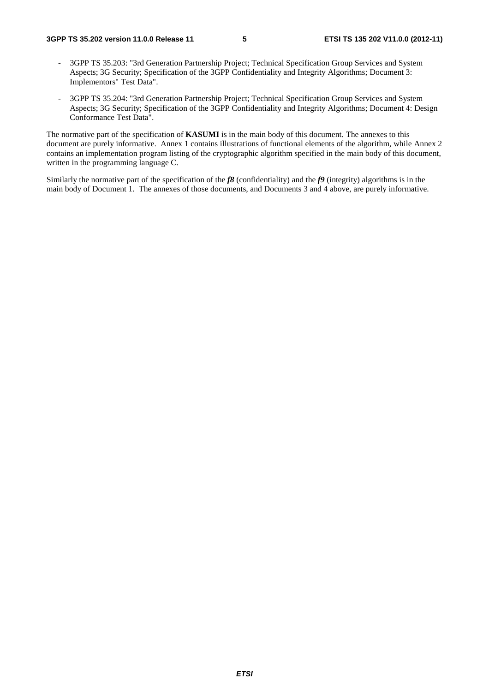- 3GPP TS 35.203: "3rd Generation Partnership Project; Technical Specification Group Services and System Aspects; 3G Security; Specification of the 3GPP Confidentiality and Integrity Algorithms; Document 3: Implementors" Test Data".
- 3GPP TS 35.204: "3rd Generation Partnership Project; Technical Specification Group Services and System Aspects; 3G Security; Specification of the 3GPP Confidentiality and Integrity Algorithms; Document 4: Design Conformance Test Data".

The normative part of the specification of **KASUMI** is in the main body of this document. The annexes to this document are purely informative. Annex 1 contains illustrations of functional elements of the algorithm, while Annex 2 contains an implementation program listing of the cryptographic algorithm specified in the main body of this document, written in the programming language C.

Similarly the normative part of the specification of the *f8* (confidentiality) and the *f9* (integrity) algorithms is in the main body of Document 1. The annexes of those documents, and Documents 3 and 4 above, are purely informative.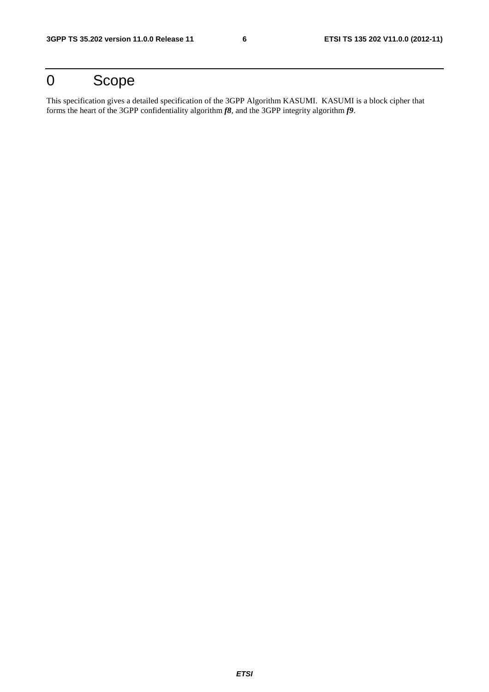## 0 Scope

This specification gives a detailed specification of the 3GPP Algorithm KASUMI. KASUMI is a block cipher that forms the heart of the 3GPP confidentiality algorithm *f8*, and the 3GPP integrity algorithm *f9*.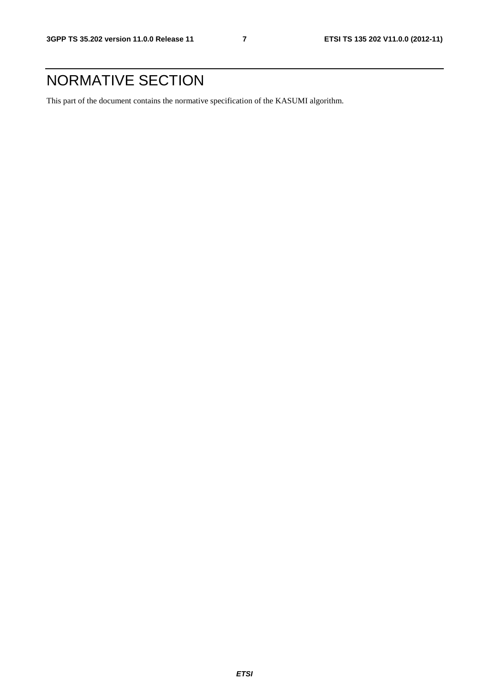## NORMATIVE SECTION

This part of the document contains the normative specification of the KASUMI algorithm.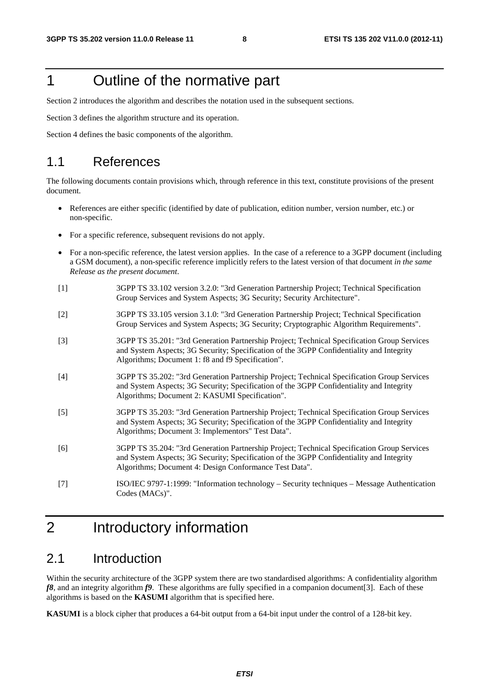## 1 Outline of the normative part

Section 2 introduces the algorithm and describes the notation used in the subsequent sections.

Section 3 defines the algorithm structure and its operation.

Section 4 defines the basic components of the algorithm.

### 1.1 References

The following documents contain provisions which, through reference in this text, constitute provisions of the present document.

- References are either specific (identified by date of publication, edition number, version number, etc.) or non-specific.
- For a specific reference, subsequent revisions do not apply.
- For a non-specific reference, the latest version applies. In the case of a reference to a 3GPP document (including a GSM document), a non-specific reference implicitly refers to the latest version of that document *in the same Release as the present document*.
- [1] 3GPP TS 33.102 version 3.2.0: "3rd Generation Partnership Project; Technical Specification Group Services and System Aspects; 3G Security; Security Architecture".
- [2] 3GPP TS 33.105 version 3.1.0: "3rd Generation Partnership Project; Technical Specification Group Services and System Aspects; 3G Security; Cryptographic Algorithm Requirements".
- [3] 3GPP TS 35.201: "3rd Generation Partnership Project; Technical Specification Group Services and System Aspects; 3G Security; Specification of the 3GPP Confidentiality and Integrity Algorithms; Document 1: f8 and f9 Specification".
- [4] 3GPP TS 35.202: "3rd Generation Partnership Project; Technical Specification Group Services and System Aspects; 3G Security; Specification of the 3GPP Confidentiality and Integrity Algorithms; Document 2: KASUMI Specification".
- [5] 3GPP TS 35.203: "3rd Generation Partnership Project; Technical Specification Group Services and System Aspects; 3G Security; Specification of the 3GPP Confidentiality and Integrity Algorithms; Document 3: Implementors" Test Data".
- [6] 3GPP TS 35.204: "3rd Generation Partnership Project; Technical Specification Group Services and System Aspects; 3G Security; Specification of the 3GPP Confidentiality and Integrity Algorithms; Document 4: Design Conformance Test Data".
- [7] ISO/IEC 9797-1:1999: "Information technology Security techniques Message Authentication Codes (MACs)".

## 2 Introductory information

### 2.1 Introduction

Within the security architecture of the 3GPP system there are two standardised algorithms: A confidentiality algorithm *f8*, and an integrity algorithm *f9*. These algorithms are fully specified in a companion document[3]. Each of these algorithms is based on the **KASUMI** algorithm that is specified here.

**KASUMI** is a block cipher that produces a 64-bit output from a 64-bit input under the control of a 128-bit key.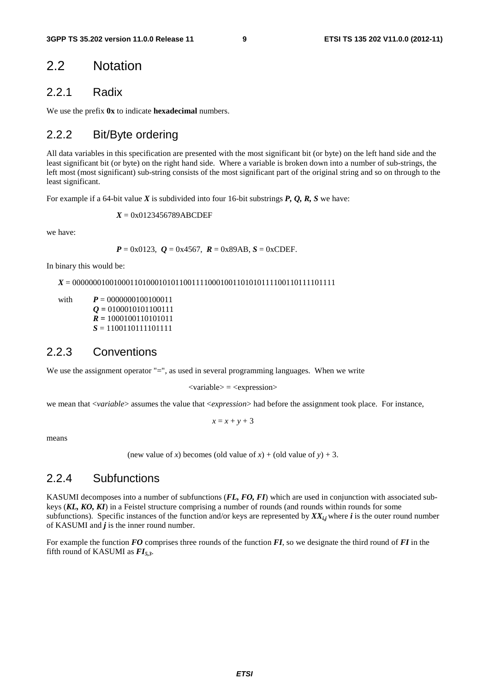### 2.2 Notation

#### 2.2.1 Radix

We use the prefix **0x** to indicate **hexadecimal** numbers.

### 2.2.2 Bit/Byte ordering

All data variables in this specification are presented with the most significant bit (or byte) on the left hand side and the least significant bit (or byte) on the right hand side. Where a variable is broken down into a number of sub-strings, the left most (most significant) sub-string consists of the most significant part of the original string and so on through to the least significant.

For example if a 64-bit value *X* is subdivided into four 16-bit substrings *P, Q, R, S* we have:

*X* = 0x0123456789ABCDEF

we have:

 $P = 0x0123$ ,  $Q = 0x4567$ ,  $R = 0x89AB$ ,  $S = 0xCDEF$ .

In binary this would be:

*X* = 0000000100100011010001010110011110001001101010111100110111101111

with  $P = 0000000100100011$  $Q = 0100010101100111$  $\vec{R} = 1000100110101011$  $S = 1100110111101111$ 

#### 2.2.3 Conventions

We use the assignment operator "=", as used in several programming languages. When we write

 $\langle$ variable $\rangle$  =  $\langle$ expression $\rangle$ 

we mean that <*variable*> assumes the value that <*expression*> had before the assignment took place. For instance,

 $x = x + y + 3$ 

means

(new value of *x*) becomes (old value of *x*) + (old value of *y*) + 3.

#### 2.2.4 Subfunctions

KASUMI decomposes into a number of subfunctions (*FL, FO, FI*) which are used in conjunction with associated subkeys (*KL, KO, KI*) in a Feistel structure comprising a number of rounds (and rounds within rounds for some subfunctions). Specific instances of the function and/or keys are represented by  $XX_{i,j}$  where *i* is the outer round number of KASUMI and  $j$  is the inner round number.

For example the function *FO* comprises three rounds of the function *FI*, so we designate the third round of *FI* in the fifth round of KASUMI as  $FI_{5,3}$ .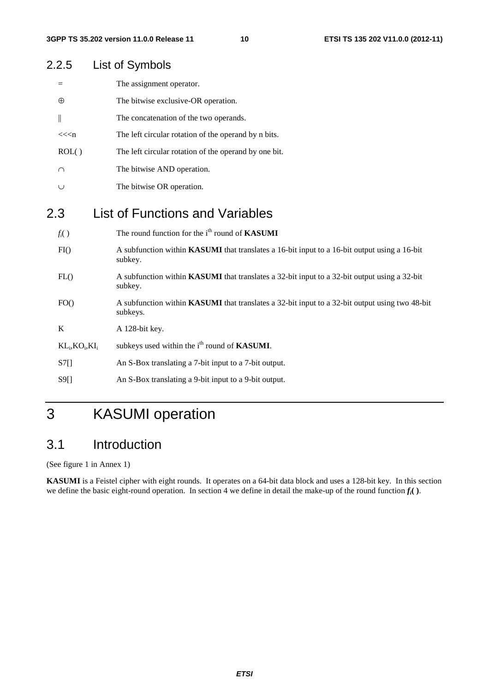| 2.2.5              | List of Symbols                                                                                            |
|--------------------|------------------------------------------------------------------------------------------------------------|
| $=$                | The assignment operator.                                                                                   |
| $\oplus$           | The bitwise exclusive-OR operation.                                                                        |
| $\parallel$        | The concatenation of the two operands.                                                                     |
| << <sub>n</sub>    | The left circular rotation of the operand by n bits.                                                       |
| ROL()              | The left circular rotation of the operand by one bit.                                                      |
| $\cap$             | The bitwise AND operation.                                                                                 |
| $\cup$             | The bitwise OR operation.                                                                                  |
| 2.3                | <b>List of Functions and Variables</b>                                                                     |
| $f_i()$            | The round function for the i <sup>th</sup> round of <b>KASUMI</b>                                          |
| FI()               | A subfunction within KASUMI that translates a 16-bit input to a 16-bit output using a 16-bit<br>subkey.    |
| FL()               | A subfunction within KASUMI that translates a 32-bit input to a 32-bit output using a 32-bit<br>subkey.    |
| FO()               | A subfunction within KASUMI that translates a 32-bit input to a 32-bit output using two 48-bit<br>subkeys. |
| $\bf K$            | A 128-bit key.                                                                                             |
| $KL_i, KO_i, KL_i$ | subkeys used within the i <sup>th</sup> round of <b>KASUMI</b> .                                           |
| S7[]               | An S-Box translating a 7-bit input to a 7-bit output.                                                      |
| S9[]               | An S-Box translating a 9-bit input to a 9-bit output.                                                      |

## 3 KASUMI operation

### 3.1 Introduction

(See figure 1 in Annex 1)

**KASUMI** is a Feistel cipher with eight rounds. It operates on a 64-bit data block and uses a 128-bit key. In this section we define the basic eight-round operation. In section 4 we define in detail the make-up of the round function  $f_i$ .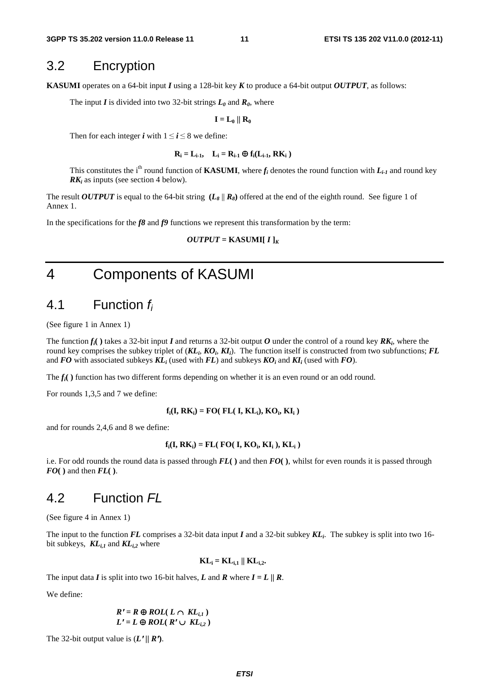### 3.2 Encryption

**KASUMI** operates on a 64-bit input *I* using a 128-bit key *K* to produce a 64-bit output *OUTPUT*, as follows:

The input *I* is divided into two 32-bit strings  $L_0$  and  $R_0$ , where

 $\mathbf{I} = \mathbf{L}_0 \parallel \mathbf{R}_0$ 

Then for each integer *i* with  $1 \le i \le 8$  we define:

$$
\mathbf{R}_{i} = \mathbf{L}_{i-1}, \quad \mathbf{L}_{i} = \mathbf{R}_{i-1} \oplus \mathbf{f}_{i}(\mathbf{L}_{i-1}, \mathbf{R}\mathbf{K}_{i})
$$

This constitutes the i<sup>th</sup> round function of **KASUMI**, where  $f_i$  denotes the round function with  $L_{i-1}$  and round key *RK<sub>i</sub>* as inputs (see section 4 below).

The result *OUTPUT* is equal to the 64-bit string  $(L_8 \parallel R_8)$  offered at the end of the eighth round. See figure 1 of Annex 1.

In the specifications for the *f8* and *f9* functions we represent this transformation by the term:

 $OUTPUT =$ **KASUMI[** $I$ ]<sub>*K*</sub>

## 4 Components of KASUMI

### 4.1 Function *fi*

(See figure 1 in Annex 1)

The function  $f_i$  () takes a 32-bit input *I* and returns a 32-bit output *O* under the control of a round key **RK**<sub>i</sub>, where the round key comprises the subkey triplet of  $(KL_i, KO_i, KI_i)$ . The function itself is constructed from two subfunctions; FL and  $FO$  with associated subkeys  $KL_i$  (used with  $FL$ ) and subkeys  $KO_i$  and  $KI_i$  (used with  $FO$ ).

The *fi***( )** function has two different forms depending on whether it is an even round or an odd round.

For rounds 1,3,5 and 7 we define:

 $\mathbf{f}_i(\mathbf{I}, \mathbf{R}\mathbf{K}_i) = \mathbf{FO}(\mathbf{FL}(\mathbf{I}, \mathbf{KL}_i), \mathbf{KO}_i, \mathbf{KI}_i)$ 

and for rounds 2,4,6 and 8 we define:

$$
\mathbf{f}_i(\mathbf{I}, \mathbf{R}\mathbf{K}_i) = \mathbf{F}\mathbf{L}(\mathbf{FO}(\mathbf{I}, \mathbf{KO}_i, \mathbf{KI}_i), \mathbf{KL}_i)
$$

i.e. For odd rounds the round data is passed through *FL***( )** and then *FO***( )**, whilst for even rounds it is passed through *FO***( )** and then *FL***( )**.

### 4.2 Function *FL*

(See figure 4 in Annex 1)

The input to the function *FL* comprises a 32-bit data input *I* and a 32-bit subkey *KLi*. The subkey is split into two 16 bit subkeys,  $KL_{i,l}$  and  $KL_{i,2}$  where

 $KL_i = KL_{i,1} || KL_{i,2}.$ 

The input data *I* is split into two 16-bit halves, *L* and *R* where  $I = L / R$ .

We define:

$$
R' = R \oplus ROL(L \cap KL_{i,1})
$$
  

$$
L' = L \oplus ROL(R' \cup KL_{i,2})
$$

 $L' = L \oplus \text{ROL}(R' \cup KL_{i,2})$ <br>The 32-bit output value is  $(L'/\mid R')$ .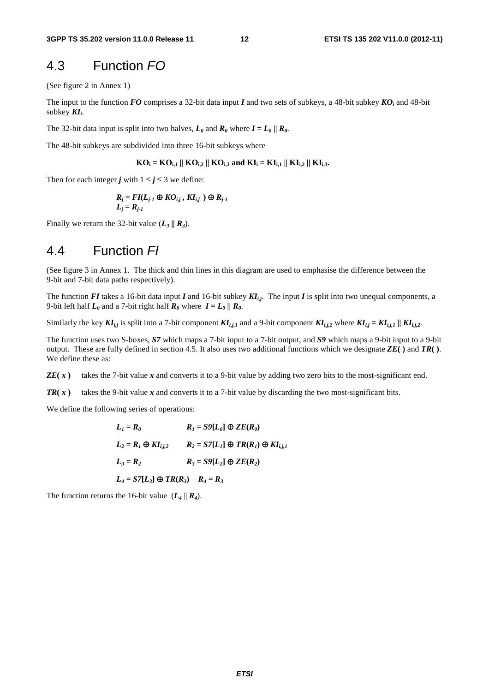### 4.3 Function *FO*

(See figure 2 in Annex 1)

The input to the function *FO* comprises a 32-bit data input *I* and two sets of subkeys, a 48-bit subkey *KO*<sup>*i*</sup> and 48-bit subkey  $KI_i$ .

The 32-bit data input is split into two halves,  $L_0$  and  $R_0$  where  $I = L_0 / R_0$ .

The 48-bit subkeys are subdivided into three 16-bit subkeys where

$$
KO_i = KO_{i,1} \parallel KO_{i,2} \parallel KO_{i,3}
$$
 and  $KI_i = KI_{i,1} \parallel KI_{i,2} \parallel KI_{i,3}$ .

Then for each integer *j* with  $1 \le j \le 3$  we define:

$$
R_j = FI(L_{j\text{-}1} \oplus KO_{i,j}, Kl_{i,j}) \oplus R_{j\text{-}1}
$$
  

$$
L_j = R_{j\text{-}1}
$$

Finally we return the 32-bit value  $(L_3 / R_3)$ .

### 4.4 Function *FI*

(See figure 3 in Annex 1. The thick and thin lines in this diagram are used to emphasise the difference between the 9-bit and 7-bit data paths respectively).

The function *FI* takes a 16-bit data input *I* and 16-bit subkey  $KI_{i,j}$ . The input *I* is split into two unequal components, a 9-bit left half  $L_0$  and a 7-bit right half  $R_0$  where  $I = L_0 / R_0$ .

Similarly the key  $KI_{i,j}$  is split into a 7-bit component  $KI_{i,j,l}$  and a 9-bit component  $KI_{i,j,l}$  where  $KI_{i,j} = K I_{i,j,l} / K I_{i,j,l}$ .

The function uses two S-boxes, *S7* which maps a 7-bit input to a 7-bit output, and *S9* which maps a 9-bit input to a 9-bit output. These are fully defined in section 4.5. It also uses two additional functions which we designate *ZE***( )** and *TR***( )**. We define these as:

*ZE*( $\bf{x}$ ) takes the 7-bit value  $\bf{x}$  and converts it to a 9-bit value by adding two zero bits to the most-significant end.

*TR*( $\bf{x}$ ) takes the 9-bit value  $\bf{x}$  and converts it to a 7-bit value by discarding the two most-significant bits.

We define the following series of operations:

$$
L_1 = R_0
$$
  
\n
$$
R_1 = S9[L_0] \oplus ZE(R_0)
$$
  
\n
$$
L_2 = R_1 \oplus KI_{i,j,2}
$$
  
\n
$$
R_2 = S7[L_1] \oplus TR(R_1) \oplus KI_{i,j,1}
$$
  
\n
$$
L_3 = R_2
$$
  
\n
$$
R_3 = S9[L_2] \oplus ZE(R_2)
$$
  
\n
$$
L_4 = S7[L_3] \oplus TR(R_3)
$$
  
\n
$$
R_4 = R_3
$$

The function returns the 16-bit value  $(L_4 || R_4)$ .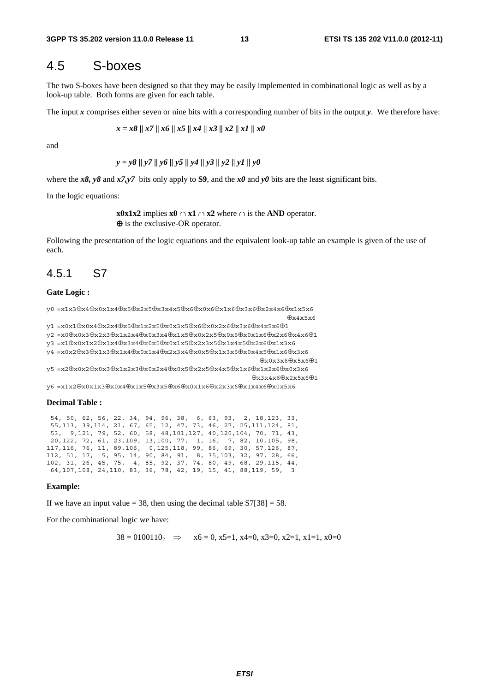### 4.5 S-boxes

The two S-boxes have been designed so that they may be easily implemented in combinational logic as well as by a look-up table. Both forms are given for each table.

The input *x* comprises either seven or nine bits with a corresponding number of bits in the output *y*. We therefore have:

$$
x = x8 \parallel x7 \parallel x6 \parallel x5 \parallel x4 \parallel x3 \parallel x2 \parallel x1 \parallel x0
$$

and

$$
y = y8 \parallel y7 \parallel y6 \parallel y5 \parallel y4 \parallel y3 \parallel y2 \parallel y1 \parallel y0
$$

where the *x8*, y8 and  $x7, y7$  bits only apply to **S9**, and the *x0* and y0 bits are the least significant bits.

In the logic equations:

 **x0x1x2** implies **x0**  $\cap$  **x1**  $\cap$  **x2** where  $\cap$  is the **AND** operator. ⊕ is the exclusive-OR operator.

Following the presentation of the logic equations and the equivalent look-up table an example is given of the use of each.

#### 4.5.1 S7

#### **Gate Logic :**

y0 =x1x3⊕x4⊕x0x1x4⊕x5⊕x2x5⊕x3x4x5⊕x6⊕x0x6⊕x1x6⊕x3x6⊕x2x4x6⊕x1x5x6  $\oplus x4x5x6$ 

```
y1 =x0x1⊕x0x4⊕x2x4⊕x5⊕x1x2x5⊕x0x3x5⊕x6⊕x0x2x6⊕x3x6⊕x4x5x6⊕1 
y2 =x0⊕x0x3⊕x2x3⊕x1x2x4⊕x0x3x4⊕x1x5⊕x0x2x5⊕x0x6⊕x0x1x6⊕x2x6⊕x4x6⊕1 
y3 =x1⊕x0x1x2⊕x1x4⊕x3x4⊕x0x5⊕x0x1x5⊕x2x3x5⊕x1x4x5⊕x2x6⊕x1x3x6 
y4 =x0x2⊕x3⊕x1x3⊕x1x4⊕x0x1x4⊕x2x3x4⊕x0x5⊕x1x3x5⊕x0x4x5⊕x1x6⊕x3x6 
                                                      ⊕x0x3x6⊕x5x6⊕1 
y5 =x2⊕x0x2⊕x0x3⊕x1x2x3⊕x0x2x4⊕x0x5⊕x2x5⊕x4x5⊕x1x6⊕x1x2x6⊕x0x3x6 
                                                    ⊕x3x4x6⊕x2x5x6⊕1
```
y6 =x1x2⊕x0x1x3⊕x0x4⊕x1x5⊕x3x5⊕x6⊕x0x1x6⊕x2x3x6⊕x1x4x6⊕x0x5x6

#### **Decimal Table :**

 54, 50, 62, 56, 22, 34, 94, 96, 38, 6, 63, 93, 2, 18,123, 33, 55,113, 39,114, 21, 67, 65, 12, 47, 73, 46, 27, 25,111,124, 81, 53, 9,121, 79, 52, 60, 58, 48,101,127, 40,120,104, 70, 71, 43, 20,122, 72, 61, 23,109, 13,100, 77, 1, 16, 7, 82, 10,105, 98, 117,116, 76, 11, 89,106, 0,125,118, 99, 86, 69, 30, 57,126, 87, 112, 51, 17, 5, 95, 14, 90, 84, 91, 8, 35,103, 32, 97, 28, 66, 102, 31, 26, 45, 75, 4, 85, 92, 37, 74, 80, 49, 68, 29,115, 44, 64,107,108, 24,110, 83, 36, 78, 42, 19, 15, 41, 88,119, 59, 3

#### **Example:**

If we have an input value  $= 38$ , then using the decimal table  $S7[38] = 58$ .

For the combinational logic we have:

 $38 = 0100110_2 \implies x6 = 0, x5 = 1, x4 = 0, x3 = 0, x2 = 1, x1 = 1, x0 = 0$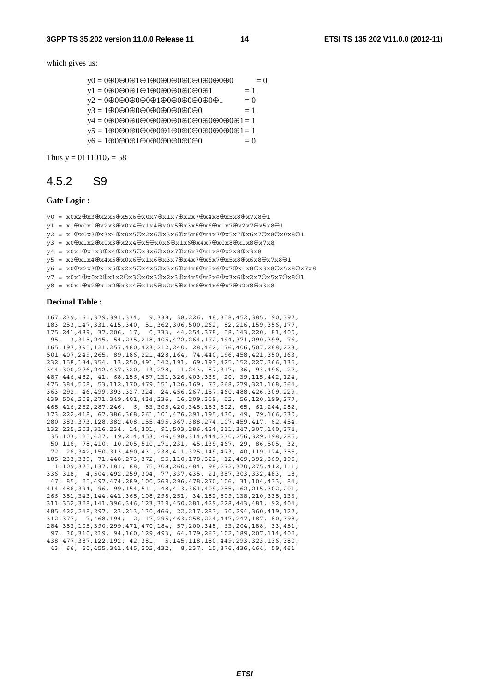which gives us:

- y0 = 0⊕0⊕0⊕1⊕1⊕0⊕0⊕0⊕0⊕0⊕0⊕0⊕0 = 0
- $v1 = 0 \oplus 0 \oplus 0 \oplus 1 \oplus 1 \oplus 0 \oplus 0 \oplus 0 \oplus 0 \oplus 0 \oplus 1 = 1$
- y2 = 0⊕0⊕0⊕0⊕0⊕1⊕0⊕0⊕0⊕0⊕0⊕1 = 0
- y3 = 1⊕0⊕0⊕0⊕0⊕0⊕0⊕0⊕0⊕0 = 1
- y4 = 0⊕0⊕0⊕0⊕0⊕0⊕0⊕0⊕0⊕0⊕0⊕0⊕0⊕1 = 1
- $y5 = 1 \oplus 0 \oplus 0 \oplus 0 \oplus 0 \oplus 1 \oplus 0 \oplus 0 \oplus 0 \oplus 0 \oplus 0 \oplus 1 = 1$
- $v6 = 1 \oplus 0 \oplus 0 \oplus 1 \oplus 0 \oplus 0 \oplus 0 \oplus 0 \oplus 0 \oplus 0$

Thus  $y = 0111010_2 = 58$ 

### 4.5.2 S9

#### **Gate Logic :**

- y0 = x0x2⊕x3⊕x2x5⊕x5x6⊕x0x7⊕x1x7⊕x2x7⊕x4x8⊕x5x8⊕x7x8⊕1
- y1 = x1⊕x0x1⊕x2x3⊕x0x4⊕x1x4⊕x0x5⊕x3x5⊕x6⊕x1x7⊕x2x7⊕x5x8⊕1
- y2 = x1⊕x0x3⊕x3x4⊕x0x5⊕x2x6⊕x3x6⊕x5x6⊕x4x7⊕x5x7⊕x6x7⊕x8⊕x0x8⊕1
- y3 = x0⊕x1x2⊕x0x3⊕x2x4⊕x5⊕x0x6⊕x1x6⊕x4x7⊕x0x8⊕x1x8⊕x7x8
- y4 = x0x1⊕x1x3⊕x4⊕x0x5⊕x3x6⊕x0x7⊕x6x7⊕x1x8⊕x2x8⊕x3x8
- y5 = x2⊕x1x4⊕x4x5⊕x0x6⊕x1x6⊕x3x7⊕x4x7⊕x6x7⊕x5x8⊕x6x8⊕x7x8⊕1
- y6 = x0⊕x2x3⊕x1x5⊕x2x5⊕x4x5⊕x3x6⊕x4x6⊕x5x6⊕x7⊕x1x8⊕x3x8⊕x5x8⊕x7x8
- y7 = x0x1⊕x0x2⊕x1x2⊕x3⊕x0x3⊕x2x3⊕x4x5⊕x2x6⊕x3x6⊕x2x7⊕x5x7⊕x8⊕1
- y8 = x0x1⊕x2⊕x1x2⊕x3x4⊕x1x5⊕x2x5⊕x1x6⊕x4x6⊕x7⊕x2x8⊕x3x8

#### **Decimal Table :**

167,239,161,379,391,334, 9,338, 38,226, 48,358,452,385, 90,397, 183,253,147,331,415,340, 51,362,306,500,262, 82,216,159,356,177, 175,241,489, 37,206, 17, 0,333, 44,254,378, 58,143,220, 81,400, 95, 3,315,245, 54,235,218,405,472,264,172,494,371,290,399, 76, 165,197,395,121,257,480,423,212,240, 28,462,176,406,507,288,223, 501,407,249,265, 89,186,221,428,164, 74,440,196,458,421,350,163, 232,158,134,354, 13,250,491,142,191, 69,193,425,152,227,366,135, 344,300,276,242,437,320,113,278, 11,243, 87,317, 36, 93,496, 27, 487,446,482, 41, 68,156,457,131,326,403,339, 20, 39,115,442,124, 475,384,508, 53,112,170,479,151,126,169, 73,268,279,321,168,364, 363,292, 46,499,393,327,324, 24,456,267,157,460,488,426,309,229, 439,506,208,271,349,401,434,236, 16,209,359, 52, 56,120,199,277, 465,416,252,287,246, 6, 83,305,420,345,153,502, 65, 61,244,282, 173,222,418, 67,386,368,261,101,476,291,195,430, 49, 79,166,330, 280,383,373,128,382,408,155,495,367,388,274,107,459,417, 62,454, 132,225,203,316,234, 14,301, 91,503,286,424,211,347,307,140,374, 35,103,125,427, 19,214,453,146,498,314,444,230,256,329,198,285, 50,116, 78,410, 10,205,510,171,231, 45,139,467, 29, 86,505, 32, 72, 26,342,150,313,490,431,238,411,325,149,473, 40,119,174,355, 185,233,389, 71,448,273,372, 55,110,178,322, 12,469,392,369,190, 1,109,375,137,181, 88, 75,308,260,484, 98,272,370,275,412,111, 336,318, 4,504,492,259,304, 77,337,435, 21,357,303,332,483, 18, 47, 85, 25,497,474,289,100,269,296,478,270,106, 31,104,433, 84, 414,486,394, 96, 99,154,511,148,413,361,409,255,162,215,302,201, 266,351,343,144,441,365,108,298,251, 34,182,509,138,210,335,133, 311,352,328,141,396,346,123,319,450,281,429,228,443,481, 92,404, 485,422,248,297, 23,213,130,466, 22,217,283, 70,294,360,419,127, 312,377, 7,468,194, 2,117,295,463,258,224,447,247,187, 80,398, 284,353,105,390,299,471,470,184, 57,200,348, 63,204,188, 33,451, 97, 30,310,219, 94,160,129,493, 64,179,263,102,189,207,114,402, 438,477,387,122,192, 42,381, 5,145,118,180,449,293,323,136,380, 43, 66, 60,455,341,445,202,432, 8,237, 15,376,436,464, 59,461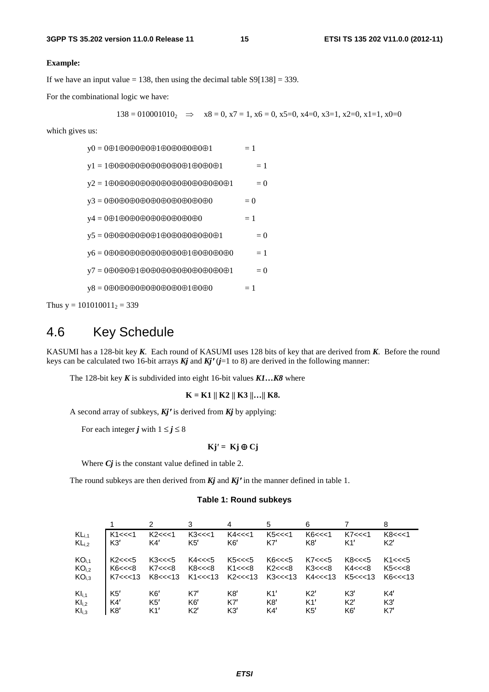#### **Example:**

If we have an input value  $= 138$ , then using the decimal table S9[138]  $= 339$ .

For the combinational logic we have:

$$
138 = 010001010_2 \implies x8 = 0, x7 = 1, x6 = 0, x5 = 0, x4 = 0, x3 = 1, x2 = 0, x1 = 1, x0 = 0
$$

which gives us:

| $y0 = 000000000000000000001$                                                                                | $=1$  |
|-------------------------------------------------------------------------------------------------------------|-------|
| $y1 = 1 \oplus 0 \oplus 0 \oplus 0 \oplus 0 \oplus 0 \oplus 0 \oplus 0 \oplus 1 \oplus 0 \oplus 0 \oplus 1$ | $=1$  |
|                                                                                                             | $= 0$ |
| $y3 = 000000000000000000000$                                                                                | $= 0$ |
| $y4 = 000000000000000000$                                                                                   | $=1$  |
| $y5 = 0 \oplus 0 \oplus 0 \oplus 0 \oplus 0 \oplus 1 \oplus 0 \oplus 0 \oplus 0 \oplus 0 \oplus 0 \oplus 1$ | $= 0$ |
| $y6 = 000000000000000000000000000$                                                                          | $=1$  |
|                                                                                                             | $= 0$ |
| $y8 = 000000000000000001000$                                                                                | $=1$  |
|                                                                                                             |       |

Thus  $y = 101010011_2 = 339$ 

## 4.6 Key Schedule

KASUMI has a 128-bit key *K*. Each round of KASUMI uses 128 bits of key that are derived from *K*. Before the round keys can be calculated two 16-bit arrays *Kj* and *Kj***<sup>'</sup>** ( $j=1$  to 8) are derived in the following manner:<br>The 128-bit key *K* is subdivided into eight 16-bit values *K1*... *K8* where

The 128-bit key *K* is subdivided into eight 16-bit values *K1…K8* where

 **K = K1 || K2 || K3 ||…|| K8.** 

A second array of subkeys,  $Kj'$  is derived from  $Kj$  by applying:<br>For each integer *i* with  $1 \le i \le 8$ 

For each integer *j* with  $1 \le j \le 8$ 

#### **Kj** $Kj' = Kj \oplus Cj$

Where *Cj* is the constant value defined in table 2.

The round subkeys are then derived from  $Kj$  and  $Kj'$  in the manner defined in table 1.<br>Table 1: Bound subkeys

#### **Table 1: Round subkeys**

|                   |        | 2        |                | 4                               | 5      | 6        |                | 8              |
|-------------------|--------|----------|----------------|---------------------------------|--------|----------|----------------|----------------|
| $KL_{i,1}$        | K1<<1  | K2<<1    | K3 < < 1       | K4 << 1                         | K5<<1  | K6<<1    | K7<<1          | K8 < < 1       |
| $KL_{i,2}$        | K3'    | K4'      | K5'            | K6'                             | K7'    | K8'      | K1'            | K2'            |
| KO <sub>i,1</sub> | K2<<5  | K3 < < 5 | K4<<<5         | K5<<<5                          | K6<<<5 | K7 < < 5 | K8 < < 5       | K1 < < 5       |
| KO <sub>i,2</sub> | K6<<<8 | K7<<<8   | K8<<<8         | K1<<<8                          | K2<<<8 | K3<<<8   | K4 < < 8       | K5<<<8         |
| KO <sub>i.3</sub> | K7<<13 |          |                | K8<<<13 K1<<<13 K2<<<13 K3<<<13 |        | K4<<<13  | K5<<<13        | K6 < < 13      |
| $KI_{i,1}$        | K5'    | K6'      | K7'            | K <sub>8</sub>                  | K1'    | K2'      | K3'            | K4'            |
| $KI_{i,2}$        | K4'    | K5'      | K <sub>6</sub> | K7'                             | K8'    | K1'      | K2'            | K <sub>3</sub> |
| KI <sub>i,3</sub> | K8'    | K1'      | K2'            | K3'                             | K4'    | K5'      | K <sub>6</sub> | K7'            |
|                   |        |          |                |                                 |        |          |                |                |
|                   |        |          |                |                                 |        |          |                |                |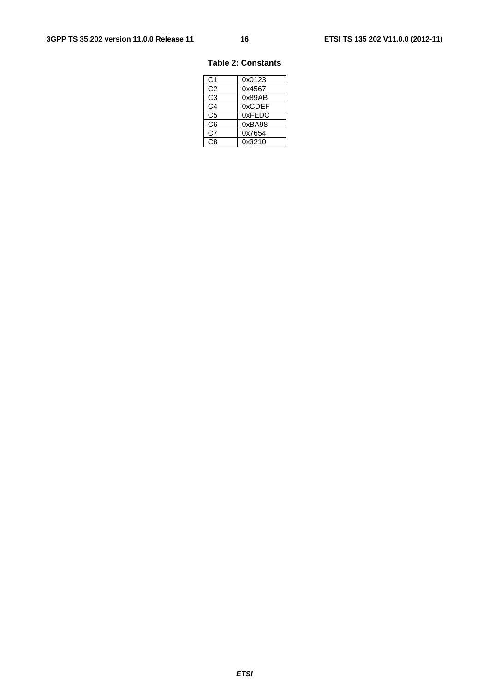#### **Table 2: Constants**

| C1             | 0x0123 |
|----------------|--------|
| C2             | 0x4567 |
| C3             | 0x89AB |
| C <sub>4</sub> | 0xCDEF |
| C5             | 0xFEDC |
| C6             | 0xBA98 |
| C7             | 0x7654 |
| CЯ             | 0x3210 |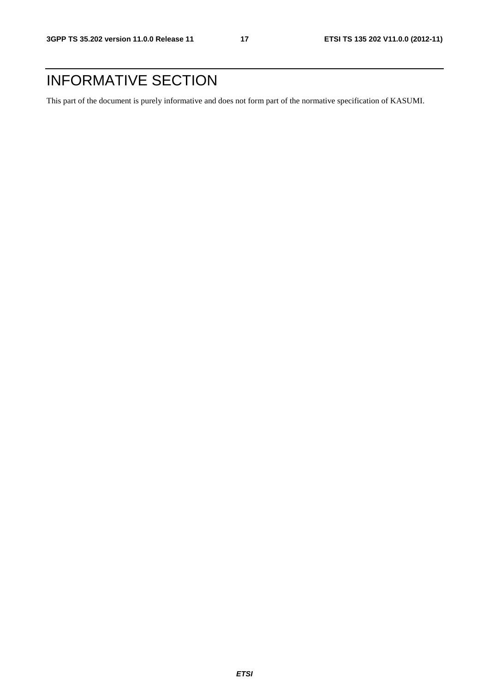## INFORMATIVE SECTION

This part of the document is purely informative and does not form part of the normative specification of KASUMI.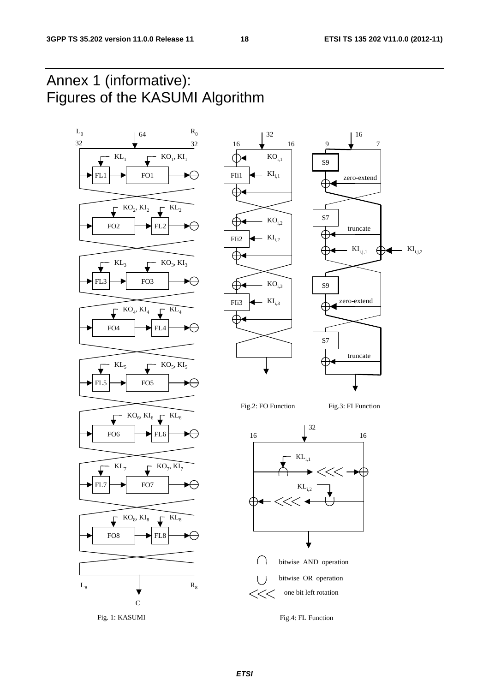## Annex 1 (informative): Figures of the KASUMI Algorithm

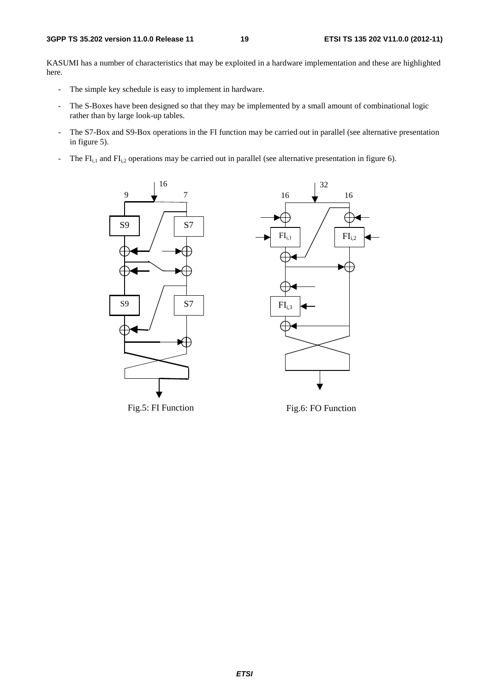KASUMI has a number of characteristics that may be exploited in a hardware implementation and these are highlighted here.

- The simple key schedule is easy to implement in hardware.
- The S-Boxes have been designed so that they may be implemented by a small amount of combinational logic rather than by large look-up tables.
- The S7-Box and S9-Box operations in the FI function may be carried out in parallel (see alternative presentation in figure 5).
- The  $FI<sub>i,1</sub>$  and  $FI<sub>i,2</sub>$  operations may be carried out in parallel (see alternative presentation in figure 6).





Fig.5: FI Function

Fig.6: FO Function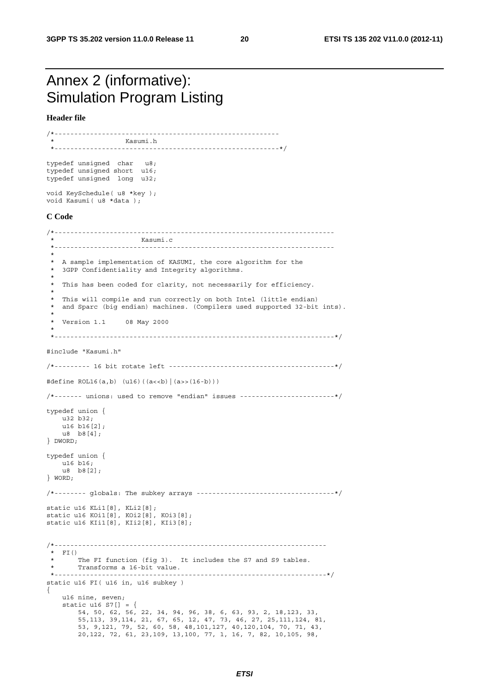## Annex 2 (informative): Simulation Program Listing

**Header file** 

/\*--------------------------------------------------------- Kasumi.h \*---------------------------------------------------------\*/ typedef unsigned char u8; typedef unsigned short u16; typedef unsigned long u32; void KeySchedule( u8 \*key ); void Kasumi( u8 \*data ); **C Code**  /\*----------------------------------------------------------------------- Kasumi.c \*----------------------------------------------------------------------- \* \* A sample implementation of KASUMI, the core algorithm for the \* 3GPP Confidentiality and Integrity algorithms. \* \* This has been coded for clarity, not necessarily for efficiency. \* \* This will compile and run correctly on both Intel (little endian) \* and Sparc (big endian) machines. (Compilers used supported 32-bit ints). \* \* Version 1.1 08 May 2000 \* \*-----------------------------------------------------------------------\*/ #include "Kasumi.h" /\*--------- 16 bit rotate left ------------------------------------------\*/ #define ROL16(a,b) (u16)((a<<b)|(a>>(16-b))) /\*------- unions: used to remove "endian" issues ------------------------\*/ typedef union { u32 b32; u16 b16[2]; u8 b8[4]; } DWORD; typedef union { u16 b16; u8 b8[2]; } WORD; /\*-------- globals: The subkey arrays -----------------------------------\*/ static u16 KLi1[8], KLi2[8]; static u16 KOi1[8], KOi2[8], KOi3[8]; static u16 KIi1[8], KIi2[8], KIi3[8]; /\*--------------------------------------------------------------------- \* FI() \* The FI function (fig 3). It includes the S7 and S9 tables. \* Transforms a 16-bit value. \*---------------------------------------------------------------------\*/ static u16 FI( u16 in, u16 subkey ) { u16 nine, seven; static u16 S7[] = { 54, 50, 62, 56, 22, 34, 94, 96, 38, 6, 63, 93, 2, 18,123, 33, 55,113, 39,114, 21, 67, 65, 12, 47, 73, 46, 27, 25,111,124, 81, 53, 9,121, 79, 52, 60, 58, 48,101,127, 40,120,104, 70, 71, 43, 20,122, 72, 61, 23,109, 13,100, 77, 1, 16, 7, 82, 10,105, 98,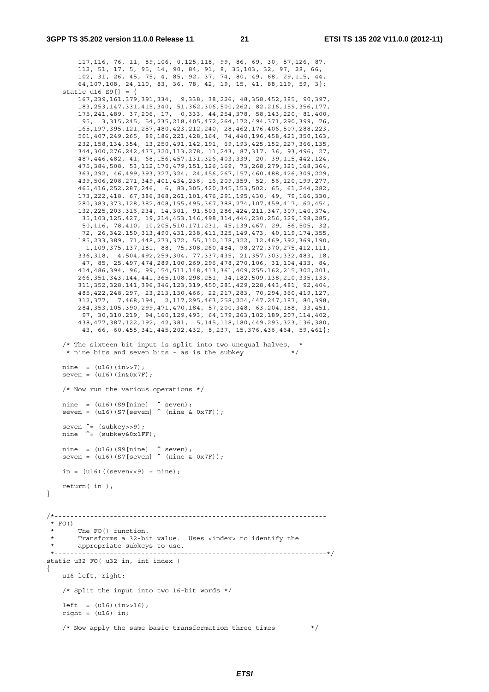}

{

```
 117,116, 76, 11, 89,106, 0,125,118, 99, 86, 69, 30, 57,126, 87, 
 112, 51, 17, 5, 95, 14, 90, 84, 91, 8, 35,103, 32, 97, 28, 66, 
 102, 31, 26, 45, 75, 4, 85, 92, 37, 74, 80, 49, 68, 29,115, 44, 
         64,107,108, 24,110, 83, 36, 78, 42, 19, 15, 41, 88,119, 59, 3}; 
     static u16 S9[] = { 
 167,239,161,379,391,334, 9,338, 38,226, 48,358,452,385, 90,397, 
 183,253,147,331,415,340, 51,362,306,500,262, 82,216,159,356,177, 
         175,241,489, 37,206, 17, 0,333, 44,254,378, 58,143,220, 81,400, 
          95, 3,315,245, 54,235,218,405,472,264,172,494,371,290,399, 76, 
         165,197,395,121,257,480,423,212,240, 28,462,176,406,507,288,223, 
         501,407,249,265, 89,186,221,428,164, 74,440,196,458,421,350,163, 
         232,158,134,354, 13,250,491,142,191, 69,193,425,152,227,366,135, 
         344,300,276,242,437,320,113,278, 11,243, 87,317, 36, 93,496, 27, 
         487,446,482, 41, 68,156,457,131,326,403,339, 20, 39,115,442,124, 
         475,384,508, 53,112,170,479,151,126,169, 73,268,279,321,168,364, 
         363,292, 46,499,393,327,324, 24,456,267,157,460,488,426,309,229, 
         439,506,208,271,349,401,434,236, 16,209,359, 52, 56,120,199,277, 
         465,416,252,287,246, 6, 83,305,420,345,153,502, 65, 61,244,282, 
         173,222,418, 67,386,368,261,101,476,291,195,430, 49, 79,166,330, 
         280,383,373,128,382,408,155,495,367,388,274,107,459,417, 62,454, 
         132,225,203,316,234, 14,301, 91,503,286,424,211,347,307,140,374, 
          35,103,125,427, 19,214,453,146,498,314,444,230,256,329,198,285, 
          50,116, 78,410, 10,205,510,171,231, 45,139,467, 29, 86,505, 32, 
          72, 26,342,150,313,490,431,238,411,325,149,473, 40,119,174,355, 
         185,233,389, 71,448,273,372, 55,110,178,322, 12,469,392,369,190, 
           1,109,375,137,181, 88, 75,308,260,484, 98,272,370,275,412,111, 
         336,318, 4,504,492,259,304, 77,337,435, 21,357,303,332,483, 18, 
          47, 85, 25,497,474,289,100,269,296,478,270,106, 31,104,433, 84, 
         414,486,394, 96, 99,154,511,148,413,361,409,255,162,215,302,201, 
         266,351,343,144,441,365,108,298,251, 34,182,509,138,210,335,133, 
         311,352,328,141,396,346,123,319,450,281,429,228,443,481, 92,404, 
         485,422,248,297, 23,213,130,466, 22,217,283, 70,294,360,419,127, 
         312,377, 7,468,194, 2,117,295,463,258,224,447,247,187, 80,398, 
         284,353,105,390,299,471,470,184, 57,200,348, 63,204,188, 33,451, 
          97, 30,310,219, 94,160,129,493, 64,179,263,102,189,207,114,402, 
         438,477,387,122,192, 42,381, 5,145,118,180,449,293,323,136,380, 
          43, 66, 60,455,341,445,202,432, 8,237, 15,376,436,464, 59,461}; 
    /* The sixteen bit input is split into two unequal halves,
     * nine bits and seven bits - as is the subkey
    nine = (u16)(in>>7);seven = (116)(in&0x7F);
     /* Now run the various operations */ 
   nine = (u16) (S9 [nine] \hat{ } seven);
    seven = (ul6) (S7[seven] \sim (nine & 0x7F));
    seven \hat{=} (subkey>>9);
   nine ^= (subkey&0x1FF);
nine = (u16) (S9 [nine] \sim seven);
seven = (u16) (S7[seven] \hat{ } (nine & 0x7F));
   in = (u16) ((seven < 9) + nine);
    return( in ); 
/*--------------------------------------------------------------------- 
 * FO()
        The FO() function.
         * Transforms a 32-bit value. Uses <index> to identify the 
       appropriate subkeys to use.
 *---------------------------------------------------------------------*/ 
static u32 FO( u32 in, int index ) 
     u16 left, right; 
     /* Split the input into two 16-bit words */ 
    left = (u16)(in > 16);
    right = (u16) in;/* Now apply the same basic transformation three times */
```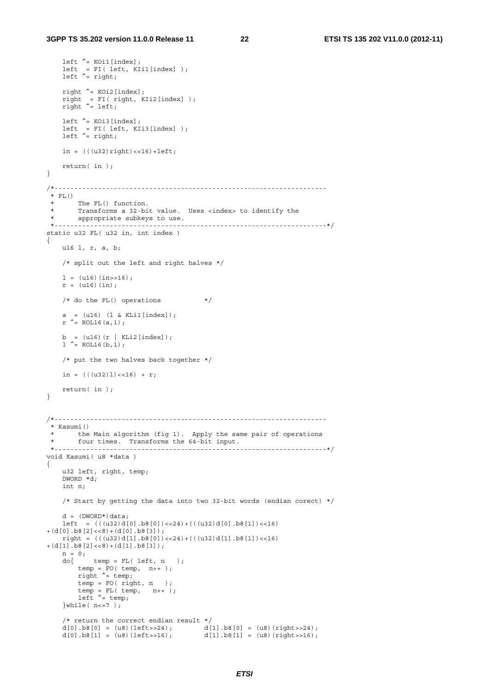```
left \hat{ } = KOi1[index];
 left = FI( left, KIi1[index] ); 
 left ^= right; 
    right ^{\wedge} = KOi2[index];
 right = FI( right, KIi2[index] ); 
 right ^= left; 
 left ^= KOi3[index]; 
 left = FI( left, KIi3[index] ); 
   left^{\prime} = right;
   in = (((u32) right) < 16) + left; return( in ); 
} 
/*--------------------------------------------------------------------- 
^\star_\star FL ( )
 * The FL() function.<br>* Transforms a 32-bi
       Transforms a 32-bit value. Uses <index> to identify the
 * appropriate subkeys to use. 
 *---------------------------------------------------------------------*/ 
static u32 FL( u32 in, int index ) 
{ 
    u16 l, r, a, b; 
     /* split out the left and right halves */ 
    l = (u16)(in > 16);r = (u16)(in);/* do the FL() operations * a = (u16) (l & KLi1[index]); 
    r ^= ROL16(a,1);
   b = (u16)(r | KLi2[index]);\sum_{1}^{\infty} - ROL16(b,1);
     /* put the two halves back together */ 
   in = (((u32)1) \times (16) + r; return( in ); 
} 
/*--------------------------------------------------------------------- 
  * Kasumi() 
 * the Main algorithm (fig 1). Apply the same pair of operations 
 * four times. Transforms the 64-bit input. 
 *---------------------------------------------------------------------*/ 
void Kasumi( u8 *data ) 
{ 
    u32 left, right, temp; 
    DWORD *d; 
    int n; 
    /* Start by getting the data into two 32-bit words (endian corect) */d = (DWORD*)\,data;left = ((u32)d[0].b8[0]) \ll 24 + ((u32)d[0].b8[1]) \ll 16)+(d[0].b8[2]<<8)+(d[0].b8[3]); 
    right = (((u32)d[1].b8[0]) << 24) + (((u32)d[1].b8[1]) << 16)+(d[1].b8[2]<<8)+(d[1].b8[3]); 
   n = 0;<br>do{
           temp = FL( left, n);
temp = FO( temp, n++);
 right ^= temp; 
        temp = FO( right, n);
        temp = FL( temp, n++);
        left^{\prime} = temp;
    }while(n<=7);
     /* return the correct endian result */ 
d[0].b8[0] = ( u8) (left \rightarrow 24); d[1].b8[0] = ( u8) (right \rightarrow 24);d[0].b8[1] = (u8)(left>>16); d[1].b8[1] = (u8)(right>>16);
```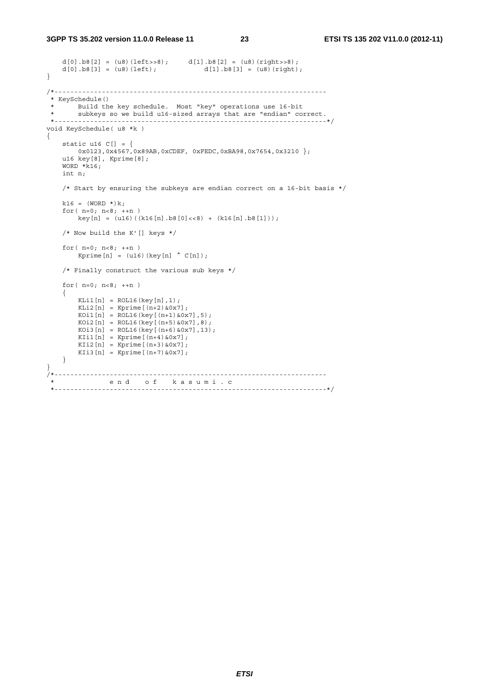#### **3GPP TS 35.202 version 11.0.0 Release 11 23 ETSI TS 135 202 V11.0.0 (2012-11)**

```
d[0].b8[2] = (u8)(left>>8); d[1].b8[2] = (u8)(right>>8); d[0].b8[3] = (u8)(left); d[1].b8[3] = (u8)(right);
    d[0].b8[3] = (u8)(left);
} 
/*--------------------------------------------------------------------- 
 * KeySchedule()<br>* Build the
 * Build the key schedule. Most "key" operations use 16-bit<br>* subkeys so we build ulf-sized arrays that are "endian" co
        subkeys so we build u16-sized arrays that are "endian" correct.
 *---------------------------------------------------------------------*/ 
void KeySchedule( u8 *k ) 
{ 
 static u16 C[] = { 
0x0123,0x4567,0x89AB,0xCDEF,0xFEDC,0xBA98,0x7654,0x3210 };
     u16 key[8], Kprime[8]; 
    WORD *k16; int n; 
     /* Start by ensuring the subkeys are endian correct on a 16-bit basis */ 
    k16 = (WORD * )k;for(n=0; n<8; ++n)
        key[n] = (u16)((k16[n].b8[0]<&lt;&lt; 8) + (k16[n].b8[1])); /* Now build the K'[] keys */ 
    for(n=0; n<8; ++n)
         Kprime[n] = (u16)(key[n] \wedge C[n]); /* Finally construct the various sub keys */ 
    for(n=0; n<8; ++n)
     { 
         KLi1[n] = \text{ROL16}(\text{key}[n], 1);KLi2[n] = Kprime[(n+2) & 0x7];KOi1[n] = ROL16(key[(n+1) & 0x7], 5);KOi2[n] = ROL16(key[(n+5) & 0x7], 8);KOi3[n] = \text{ROL16}(\text{key}[(n+6) \& 0 \times 7], 13);KIil[n] = Kprime[(n+4) & 0x7];KIi2[n] = Kprime[(n+3) & 0x7];KIi3[n] = Kprime[(n+7) & 0 & 7]; } 
} 
 /*--------------------------------------------------------------------- 
               * e n d o f k a s u m i . c 
  *---------------------------------------------------------------------*/
```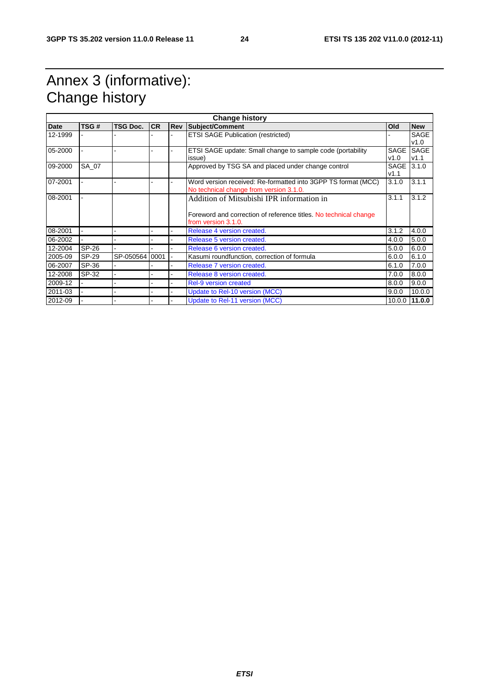## Annex 3 (informative): Change history

| <b>Change history</b> |       |                 |           |            |                                                                  |             |                 |
|-----------------------|-------|-----------------|-----------|------------|------------------------------------------------------------------|-------------|-----------------|
| Date                  | TSG#  | <b>TSG Doc.</b> | <b>CR</b> | <b>Rev</b> | Subject/Comment                                                  | Old         | <b>New</b>      |
| 12-1999               |       |                 |           |            | <b>ETSI SAGE Publication (restricted)</b>                        |             | <b>SAGE</b>     |
|                       |       |                 |           |            |                                                                  |             | v1.0            |
| 05-2000               |       |                 |           |            | ETSI SAGE update: Small change to sample code (portability       | <b>SAGE</b> | SAGE            |
|                       |       |                 |           |            | issue)                                                           | v1.0        | V1.1            |
| 09-2000               | SA 07 |                 |           |            | Approved by TSG SA and placed under change control               | SAGE 3.1.0  |                 |
|                       |       |                 |           |            |                                                                  | V1.1        |                 |
| 07-2001               |       |                 |           |            | Word version received: Re-formatted into 3GPP TS format (MCC)    | 3.1.0       | 3.1.1           |
|                       |       |                 |           |            | No technical change from version 3.1.0.                          |             |                 |
| 08-2001               |       |                 |           |            | Addition of Mitsubishi IPR information in                        | 3.1.1       | 3.1.2           |
|                       |       |                 |           |            |                                                                  |             |                 |
|                       |       |                 |           |            | Foreword and correction of reference titles. No technical change |             |                 |
|                       |       |                 |           |            | from version 3.1.0.                                              |             |                 |
| 08-2001               |       |                 |           |            | Release 4 version created.                                       | 3.1.2       | 4.0.0           |
| 06-2002               |       |                 |           |            | Release 5 version created.                                       | 4.0.0       | 5.0.0           |
| 12-2004               | SP-26 |                 |           |            | Release 6 version created.                                       | 5.0.0       | 6.0.0           |
| 2005-09               | SP-29 | SP-050564 0001  |           |            | Kasumi roundfunction, correction of formula                      | 6.0.0       | 6.1.0           |
| 06-2007               | SP-36 |                 |           |            | Release 7 version created.                                       | 6.1.0       | 7.0.0           |
| 12-2008               | SP-32 |                 |           |            | Release 8 version created.                                       | 7.0.0       | 8.0.0           |
| 2009-12               |       |                 |           |            | <b>Rel-9 version created</b>                                     | 8.0.0       | 9.0.0           |
| 2011-03               |       |                 |           |            | Update to Rel-10 version (MCC)                                   | 9.0.0       | 10.0.0          |
| 2012-09               |       |                 |           |            | Update to Rel-11 version (MCC)                                   |             | $10.0.0$ 11.0.0 |